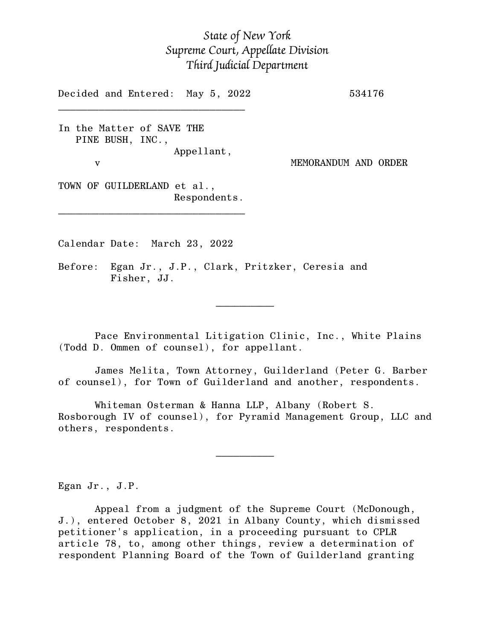## *State of New York Supreme Court, Appellate Division Third Judicial Department*

Decided and Entered: May 5, 2022 534176

In the Matter of SAVE THE PINE BUSH, INC., Appellant, v MEMORANDUM AND ORDER

 $\mathcal{L}_\text{max}$ 

TOWN OF GUILDERLAND et al., Respondents.

\_\_\_\_\_\_\_\_\_\_\_\_\_\_\_\_\_\_\_\_\_\_\_\_\_\_\_\_\_\_\_\_

Calendar Date: March 23, 2022

 $\mathcal{L}_\text{max}$  and  $\mathcal{L}_\text{max}$  are the set of  $\mathcal{L}_\text{max}$  . The set of  $\mathcal{L}_\text{max}$ 

 $\mathcal{L}_\text{max}$  and  $\mathcal{L}_\text{max}$  are the set of  $\mathcal{L}_\text{max}$  . The set of  $\mathcal{L}_\text{max}$ 

Before: Egan Jr., J.P., Clark, Pritzker, Ceresia and Fisher, JJ.

Pace Environmental Litigation Clinic, Inc., White Plains (Todd D. Ommen of counsel), for appellant.

James Melita, Town Attorney, Guilderland (Peter G. Barber of counsel), for Town of Guilderland and another, respondents.

Whiteman Osterman & Hanna LLP, Albany (Robert S. Rosborough IV of counsel), for Pyramid Management Group, LLC and others, respondents.

Egan Jr., J.P.

Appeal from a judgment of the Supreme Court (McDonough, J.), entered October 8, 2021 in Albany County, which dismissed petitioner's application, in a proceeding pursuant to CPLR article 78, to, among other things, review a determination of respondent Planning Board of the Town of Guilderland granting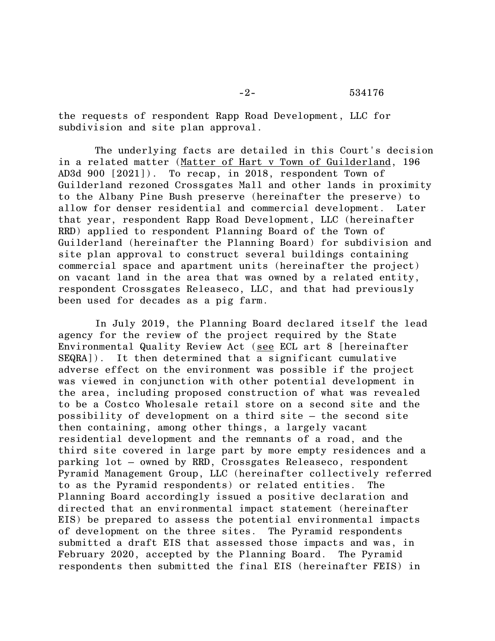the requests of respondent Rapp Road Development, LLC for subdivision and site plan approval.

The underlying facts are detailed in this Court's decision in a related matter (Matter of Hart v Town of Guilderland, 196 AD3d 900 [2021]). To recap, in 2018, respondent Town of Guilderland rezoned Crossgates Mall and other lands in proximity to the Albany Pine Bush preserve (hereinafter the preserve) to allow for denser residential and commercial development. Later that year, respondent Rapp Road Development, LLC (hereinafter RRD) applied to respondent Planning Board of the Town of Guilderland (hereinafter the Planning Board) for subdivision and site plan approval to construct several buildings containing commercial space and apartment units (hereinafter the project) on vacant land in the area that was owned by a related entity, respondent Crossgates Releaseco, LLC, and that had previously been used for decades as a pig farm.

In July 2019, the Planning Board declared itself the lead agency for the review of the project required by the State Environmental Quality Review Act (see ECL art 8 [hereinafter SEQRA]). It then determined that a significant cumulative adverse effect on the environment was possible if the project was viewed in conjunction with other potential development in the area, including proposed construction of what was revealed to be a Costco Wholesale retail store on a second site and the possibility of development on a third site – the second site then containing, among other things, a largely vacant residential development and the remnants of a road, and the third site covered in large part by more empty residences and a parking lot – owned by RRD, Crossgates Releaseco, respondent Pyramid Management Group, LLC (hereinafter collectively referred to as the Pyramid respondents) or related entities. The Planning Board accordingly issued a positive declaration and directed that an environmental impact statement (hereinafter EIS) be prepared to assess the potential environmental impacts of development on the three sites. The Pyramid respondents submitted a draft EIS that assessed those impacts and was, in February 2020, accepted by the Planning Board. The Pyramid respondents then submitted the final EIS (hereinafter FEIS) in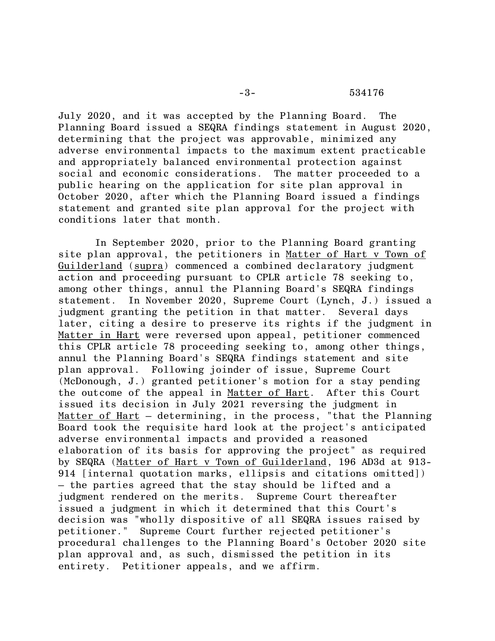July 2020, and it was accepted by the Planning Board. The Planning Board issued a SEQRA findings statement in August 2020, determining that the project was approvable, minimized any adverse environmental impacts to the maximum extent practicable and appropriately balanced environmental protection against social and economic considerations. The matter proceeded to a public hearing on the application for site plan approval in October 2020, after which the Planning Board issued a findings statement and granted site plan approval for the project with conditions later that month.

In September 2020, prior to the Planning Board granting site plan approval, the petitioners in Matter of Hart v Town of Guilderland (supra) commenced a combined declaratory judgment action and proceeding pursuant to CPLR article 78 seeking to, among other things, annul the Planning Board's SEQRA findings statement. In November 2020, Supreme Court (Lynch, J.) issued a judgment granting the petition in that matter. Several days later, citing a desire to preserve its rights if the judgment in Matter in Hart were reversed upon appeal, petitioner commenced this CPLR article 78 proceeding seeking to, among other things, annul the Planning Board's SEQRA findings statement and site plan approval. Following joinder of issue, Supreme Court (McDonough, J.) granted petitioner's motion for a stay pending the outcome of the appeal in Matter of Hart. After this Court issued its decision in July 2021 reversing the judgment in Matter of Hart – determining, in the process, "that the Planning Board took the requisite hard look at the project's anticipated adverse environmental impacts and provided a reasoned elaboration of its basis for approving the project" as required by SEQRA (Matter of Hart v Town of Guilderland, 196 AD3d at 913- 914 [internal quotation marks, ellipsis and citations omitted]) – the parties agreed that the stay should be lifted and a judgment rendered on the merits. Supreme Court thereafter issued a judgment in which it determined that this Court's decision was "wholly dispositive of all SEQRA issues raised by petitioner." Supreme Court further rejected petitioner's procedural challenges to the Planning Board's October 2020 site plan approval and, as such, dismissed the petition in its entirety. Petitioner appeals, and we affirm.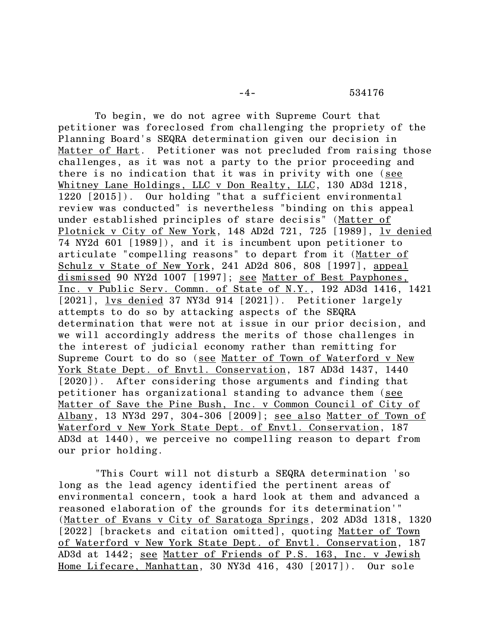## -4- 534176

To begin, we do not agree with Supreme Court that petitioner was foreclosed from challenging the propriety of the Planning Board's SEQRA determination given our decision in Matter of Hart. Petitioner was not precluded from raising those challenges, as it was not a party to the prior proceeding and there is no indication that it was in privity with one (see Whitney Lane Holdings, LLC v Don Realty, LLC, 130 AD3d 1218, 1220 [2015]). Our holding "that a sufficient environmental review was conducted" is nevertheless "binding on this appeal under established principles of stare decisis" (Matter of Plotnick v City of New York, 148 AD2d 721, 725 [1989], lv denied 74 NY2d 601 [1989]), and it is incumbent upon petitioner to articulate "compelling reasons" to depart from it (Matter of Schulz v State of New York, 241 AD2d 806, 808 [1997], appeal dismissed 90 NY2d 1007 [1997]; see Matter of Best Payphones, Inc. v Public Serv. Commn. of State of N.Y., 192 AD3d 1416, 1421 [2021], lys denied 37 NY3d 914 [2021]). Petitioner largely attempts to do so by attacking aspects of the SEQRA determination that were not at issue in our prior decision, and we will accordingly address the merits of those challenges in the interest of judicial economy rather than remitting for Supreme Court to do so (see Matter of Town of Waterford v New York State Dept. of Envtl. Conservation, 187 AD3d 1437, 1440 [2020]). After considering those arguments and finding that petitioner has organizational standing to advance them (see Matter of Save the Pine Bush, Inc. v Common Council of City of Albany, 13 NY3d 297, 304-306 [2009]; see also Matter of Town of Waterford v New York State Dept. of Envtl. Conservation, 187 AD3d at 1440), we perceive no compelling reason to depart from our prior holding.

"This Court will not disturb a SEQRA determination 'so long as the lead agency identified the pertinent areas of environmental concern, took a hard look at them and advanced a reasoned elaboration of the grounds for its determination'" (Matter of Evans v City of Saratoga Springs, 202 AD3d 1318, 1320 [2022] [brackets and citation omitted], quoting Matter of Town of Waterford v New York State Dept. of Envtl. Conservation, 187 AD3d at 1442; see Matter of Friends of P.S. 163, Inc. v Jewish Home Lifecare, Manhattan, 30 NY3d 416, 430 [2017]). Our sole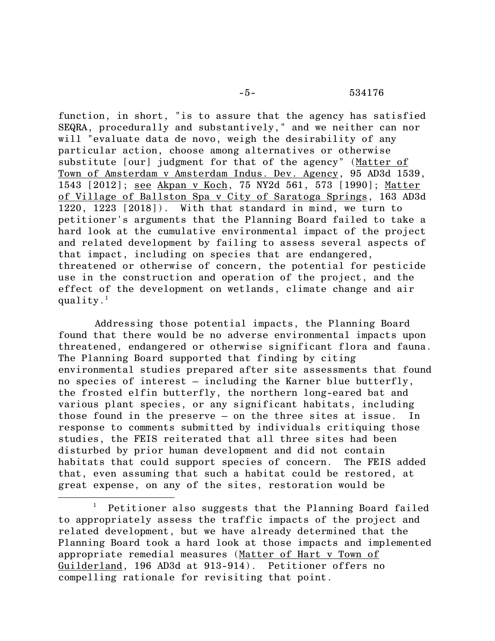function, in short, "is to assure that the agency has satisfied SEQRA, procedurally and substantively," and we neither can nor will "evaluate data de novo, weigh the desirability of any particular action, choose among alternatives or otherwise substitute [our] judgment for that of the agency" (Matter of Town of Amsterdam v Amsterdam Indus. Dev. Agency, 95 AD3d 1539, 1543 [2012]; see Akpan v Koch, 75 NY2d 561, 573 [1990]; Matter of Village of Ballston Spa v City of Saratoga Springs, 163 AD3d 1220, 1223 [2018]). With that standard in mind, we turn to petitioner's arguments that the Planning Board failed to take a hard look at the cumulative environmental impact of the project and related development by failing to assess several aspects of that impact, including on species that are endangered, threatened or otherwise of concern, the potential for pesticide use in the construction and operation of the project, and the effect of the development on wetlands, climate change and air  $quality.$  $^1$ 

Addressing those potential impacts, the Planning Board found that there would be no adverse environmental impacts upon threatened, endangered or otherwise significant flora and fauna. The Planning Board supported that finding by citing environmental studies prepared after site assessments that found no species of interest – including the Karner blue butterfly, the frosted elfin butterfly, the northern long-eared bat and various plant species, or any significant habitats, including those found in the preserve – on the three sites at issue. In response to comments submitted by individuals critiquing those studies, the FEIS reiterated that all three sites had been disturbed by prior human development and did not contain habitats that could support species of concern. The FEIS added that, even assuming that such a habitat could be restored, at great expense, on any of the sites, restoration would be

<sup>1</sup> Petitioner also suggests that the Planning Board failed to appropriately assess the traffic impacts of the project and related development, but we have already determined that the Planning Board took a hard look at those impacts and implemented appropriate remedial measures (Matter of Hart v Town of Guilderland, 196 AD3d at 913-914). Petitioner offers no compelling rationale for revisiting that point.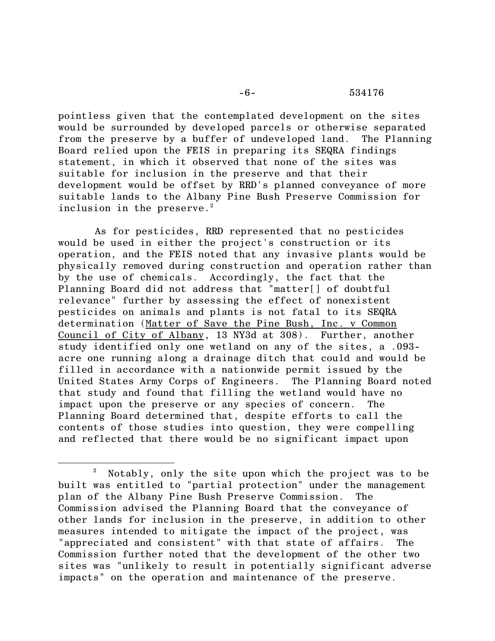pointless given that the contemplated development on the sites would be surrounded by developed parcels or otherwise separated from the preserve by a buffer of undeveloped land. The Planning Board relied upon the FEIS in preparing its SEQRA findings statement, in which it observed that none of the sites was suitable for inclusion in the preserve and that their development would be offset by RRD's planned conveyance of more suitable lands to the Albany Pine Bush Preserve Commission for inclusion in the preserve. 2

As for pesticides, RRD represented that no pesticides would be used in either the project's construction or its operation, and the FEIS noted that any invasive plants would be physically removed during construction and operation rather than by the use of chemicals. Accordingly, the fact that the Planning Board did not address that "matter[] of doubtful relevance" further by assessing the effect of nonexistent pesticides on animals and plants is not fatal to its SEQRA determination (Matter of Save the Pine Bush, Inc. v Common Council of City of Albany, 13 NY3d at 308). Further, another study identified only one wetland on any of the sites, a .093 acre one running along a drainage ditch that could and would be filled in accordance with a nationwide permit issued by the United States Army Corps of Engineers. The Planning Board noted that study and found that filling the wetland would have no impact upon the preserve or any species of concern. The Planning Board determined that, despite efforts to call the contents of those studies into question, they were compelling and reflected that there would be no significant impact upon

<sup>2</sup> Notably, only the site upon which the project was to be built was entitled to "partial protection" under the management plan of the Albany Pine Bush Preserve Commission. The Commission advised the Planning Board that the conveyance of other lands for inclusion in the preserve, in addition to other measures intended to mitigate the impact of the project, was "appreciated and consistent" with that state of affairs. The Commission further noted that the development of the other two sites was "unlikely to result in potentially significant adverse impacts" on the operation and maintenance of the preserve.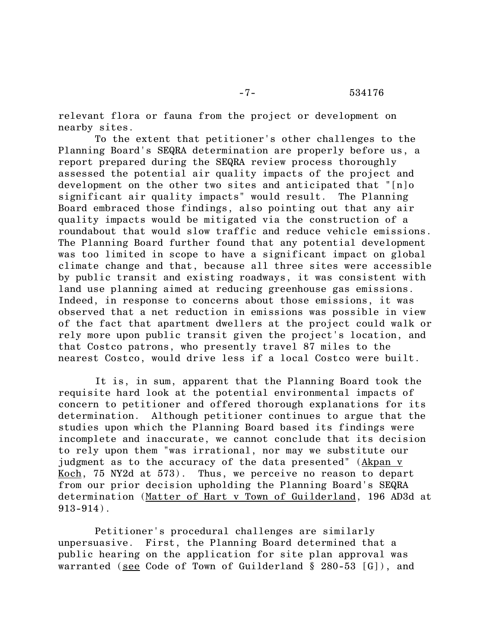relevant flora or fauna from the project or development on nearby sites.

To the extent that petitioner's other challenges to the Planning Board's SEQRA determination are properly before us, a report prepared during the SEQRA review process thoroughly assessed the potential air quality impacts of the project and development on the other two sites and anticipated that "[n]o significant air quality impacts" would result. The Planning Board embraced those findings, also pointing out that any air quality impacts would be mitigated via the construction of a roundabout that would slow traffic and reduce vehicle emissions. The Planning Board further found that any potential development was too limited in scope to have a significant impact on global climate change and that, because all three sites were accessible by public transit and existing roadways, it was consistent with land use planning aimed at reducing greenhouse gas emissions. Indeed, in response to concerns about those emissions, it was observed that a net reduction in emissions was possible in view of the fact that apartment dwellers at the project could walk or rely more upon public transit given the project's location, and that Costco patrons, who presently travel 87 miles to the nearest Costco, would drive less if a local Costco were built.

It is, in sum, apparent that the Planning Board took the requisite hard look at the potential environmental impacts of concern to petitioner and offered thorough explanations for its determination. Although petitioner continues to argue that the studies upon which the Planning Board based its findings were incomplete and inaccurate, we cannot conclude that its decision to rely upon them "was irrational, nor may we substitute our judgment as to the accuracy of the data presented" (Akpan v Koch, 75 NY2d at 573). Thus, we perceive no reason to depart from our prior decision upholding the Planning Board's SEQRA determination (Matter of Hart v Town of Guilderland, 196 AD3d at 913-914).

Petitioner's procedural challenges are similarly unpersuasive. First, the Planning Board determined that a public hearing on the application for site plan approval was warranted (see Code of Town of Guilderland § 280-53 [G]), and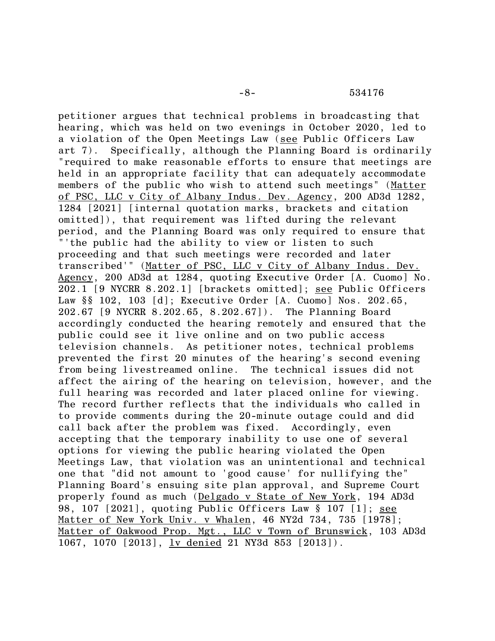petitioner argues that technical problems in broadcasting that hearing, which was held on two evenings in October 2020, led to a violation of the Open Meetings Law (see Public Officers Law art 7). Specifically, although the Planning Board is ordinarily "required to make reasonable efforts to ensure that meetings are held in an appropriate facility that can adequately accommodate members of the public who wish to attend such meetings" (Matter of PSC, LLC v City of Albany Indus. Dev. Agency, 200 AD3d 1282, 1284 [2021] [internal quotation marks, brackets and citation omitted]), that requirement was lifted during the relevant period, and the Planning Board was only required to ensure that "'the public had the ability to view or listen to such proceeding and that such meetings were recorded and later transcribed'" (Matter of PSC, LLC v City of Albany Indus. Dev. Agency, 200 AD3d at 1284, quoting Executive Order [A. Cuomo] No. 202.1 [9 NYCRR 8.202.1] [brackets omitted]; see Public Officers Law §§ 102, 103 [d]; Executive Order [A. Cuomo] Nos. 202.65, 202.67 [9 NYCRR 8.202.65, 8.202.67]). The Planning Board accordingly conducted the hearing remotely and ensured that the public could see it live online and on two public access television channels. As petitioner notes, technical problems prevented the first 20 minutes of the hearing's second evening from being livestreamed online. The technical issues did not affect the airing of the hearing on television, however, and the full hearing was recorded and later placed online for viewing. The record further reflects that the individuals who called in to provide comments during the 20-minute outage could and did call back after the problem was fixed. Accordingly, even accepting that the temporary inability to use one of several options for viewing the public hearing violated the Open Meetings Law, that violation was an unintentional and technical one that "did not amount to 'good cause' for nullifying the" Planning Board's ensuing site plan approval, and Supreme Court properly found as much (Delgado v State of New York, 194 AD3d 98, 107 [2021], quoting Public Officers Law § 107 [1]; see Matter of New York Univ. v Whalen, 46 NY2d 734, 735 [1978]; Matter of Oakwood Prop. Mgt., LLC v Town of Brunswick, 103 AD3d 1067, 1070 [2013], lv denied 21 NY3d 853 [2013]).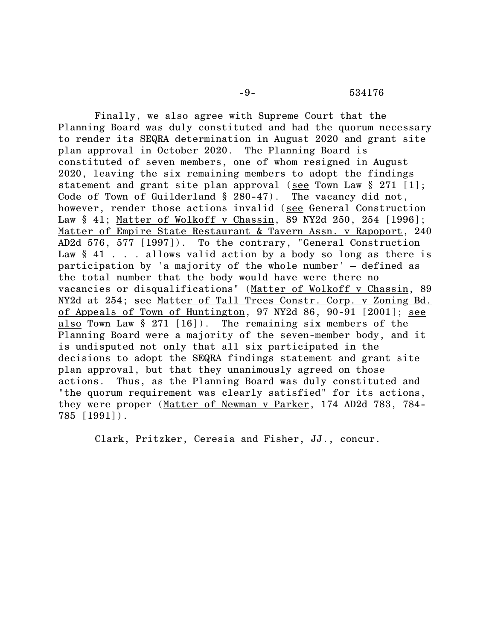Finally, we also agree with Supreme Court that the Planning Board was duly constituted and had the quorum necessary to render its SEQRA determination in August 2020 and grant site plan approval in October 2020. The Planning Board is constituted of seven members, one of whom resigned in August 2020, leaving the six remaining members to adopt the findings statement and grant site plan approval (see Town Law § 271 [1]; Code of Town of Guilderland § 280-47). The vacancy did not, however, render those actions invalid (see General Construction Law § 41; Matter of Wolkoff v Chassin, 89 NY2d 250, 254 [1996]; Matter of Empire State Restaurant & Tavern Assn. v Rapoport, 240 AD2d 576, 577 [1997]). To the contrary, "General Construction Law  $§$  41 . . . allows valid action by a body so long as there is participation by 'a majority of the whole number' — defined as the total number that the body would have were there no vacancies or disqualifications" (Matter of Wolkoff v Chassin, 89 NY2d at 254; see Matter of Tall Trees Constr. Corp. v Zoning Bd. of Appeals of Town of Huntington, 97 NY2d 86, 90-91 [2001]; see also Town Law § 271 [16]). The remaining six members of the Planning Board were a majority of the seven-member body, and it is undisputed not only that all six participated in the decisions to adopt the SEQRA findings statement and grant site plan approval, but that they unanimously agreed on those actions. Thus, as the Planning Board was duly constituted and "the quorum requirement was clearly satisfied" for its actions, they were proper (Matter of Newman v Parker, 174 AD2d 783, 784- 785 [1991]).

Clark, Pritzker, Ceresia and Fisher, JJ., concur.